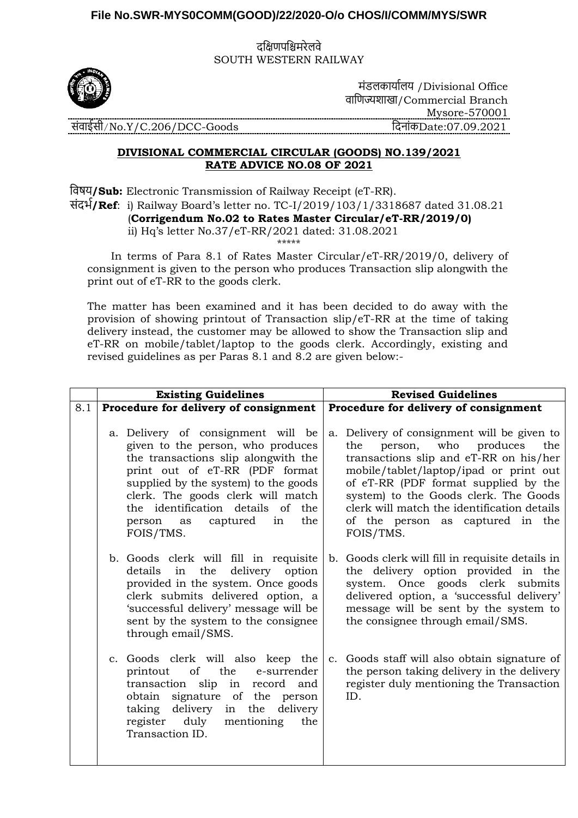### **File No.SWR-MYS0COMM(GOOD)/22/2020-O/o CHOS/I/COMM/MYS/SWR**

दक्षिणपक्षिमरेलवे SOUTH WESTERN RAILWAY



मंडलकार्ाालर् /Divisional Office वाक्षणज्यशाखा/Commercial Branch Mysore-570001 संवाईसी/No.Y/C.206/DCC-Goods क्षदनांकDate:07.09.2021

# **DIVISIONAL COMMERCIAL CIRCULAR (GOODS) NO.139/2021 RATE ADVICE NO.08 OF 2021**

क्षवषर्**/Sub:** Electronic Transmission of Railway Receipt (eT-RR). संदर्ा**/Ref**: i) Railway Board's letter no. TC-I/2019/103/1/3318687 dated 31.08.21 (**Corrigendum No.02 to Rates Master Circular/eT-RR/2019/0)** ii) Hq's letter No.37/eT-RR/2021 dated: 31.08.2021

\*\*\*\*\*

 In terms of Para 8.1 of Rates Master Circular/eT-RR/2019/0, delivery of consignment is given to the person who produces Transaction slip alongwith the print out of eT-RR to the goods clerk.

The matter has been examined and it has been decided to do away with the provision of showing printout of Transaction slip/eT-RR at the time of taking delivery instead, the customer may be allowed to show the Transaction slip and eT-RR on mobile/tablet/laptop to the goods clerk. Accordingly, existing and revised guidelines as per Paras 8.1 and 8.2 are given below:-

|     | <b>Existing Guidelines</b>                                                                                                                                                                                                                                                                                               | <b>Revised Guidelines</b>                                                                                                                                                                                                                                                                                                                                 |
|-----|--------------------------------------------------------------------------------------------------------------------------------------------------------------------------------------------------------------------------------------------------------------------------------------------------------------------------|-----------------------------------------------------------------------------------------------------------------------------------------------------------------------------------------------------------------------------------------------------------------------------------------------------------------------------------------------------------|
| 8.1 | Procedure for delivery of consignment                                                                                                                                                                                                                                                                                    | Procedure for delivery of consignment                                                                                                                                                                                                                                                                                                                     |
|     | a. Delivery of consignment will be<br>given to the person, who produces<br>the transactions slip alongwith the<br>print out of eT-RR (PDF format<br>supplied by the system) to the goods<br>clerk. The goods clerk will match<br>the identification details of the<br>the<br>captured<br>in<br>as<br>person<br>FOIS/TMS. | a. Delivery of consignment will be given to<br>who produces<br>person,<br>the<br>the<br>transactions slip and eT-RR on his/her<br>mobile/tablet/laptop/ipad or print out<br>of eT-RR (PDF format supplied by the<br>system) to the Goods clerk. The Goods<br>clerk will match the identification details<br>of the person as captured in the<br>FOIS/TMS. |
|     | b. Goods clerk will fill in requisite<br>details in the delivery option<br>provided in the system. Once goods<br>clerk submits delivered option, a<br>'successful delivery' message will be<br>sent by the system to the consignee<br>through email/SMS.                                                                 | b. Goods clerk will fill in requisite details in<br>the delivery option provided in the<br>system. Once goods clerk submits<br>delivered option, a 'successful delivery'<br>message will be sent by the system to<br>the consignee through email/SMS.                                                                                                     |
|     | c. Goods clerk will also keep the<br>of<br>the<br>printout<br>e-surrender<br>transaction slip in<br>record and<br>obtain signature of the person<br>delivery<br>in the<br>delivery<br>taking<br>register duly mentioning<br>the<br>Transaction ID.                                                                       | c. Goods staff will also obtain signature of<br>the person taking delivery in the delivery<br>register duly mentioning the Transaction<br>ID.                                                                                                                                                                                                             |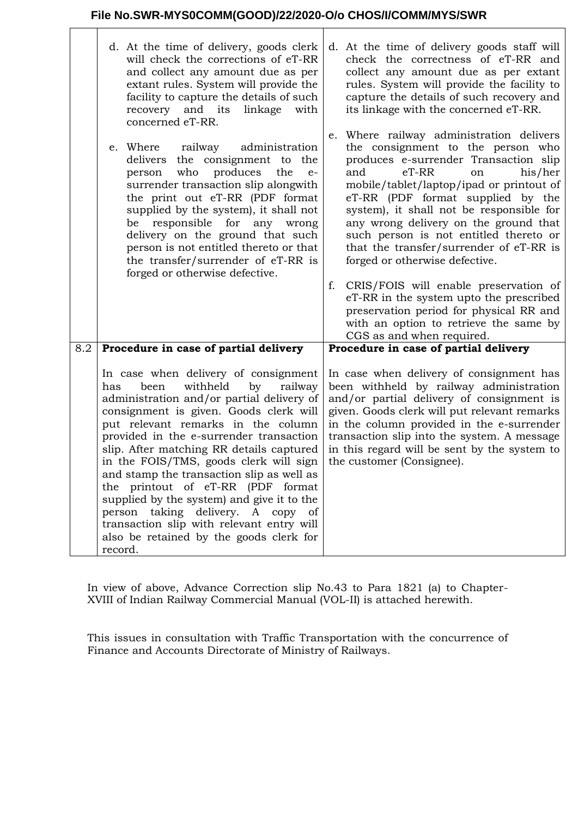## **File No.SWR-MYS0COMM(GOOD)/22/2020-O/o CHOS/I/COMM/MYS/SWR**

 $\mathsf{r}$ 

|     | d. At the time of delivery, goods clerk<br>will check the corrections of eT-RR<br>and collect any amount due as per<br>extant rules. System will provide the<br>facility to capture the details of such<br>recovery and its<br>linkage<br>with<br>concerned eT-RR.                                                                                                                                                                                                                                                                                                                                                     | d. At the time of delivery goods staff will<br>check the correctness of eT-RR and<br>collect any amount due as per extant<br>rules. System will provide the facility to<br>capture the details of such recovery and<br>its linkage with the concerned eT-RR.                                                                                                                                                                                                                                                                                     |
|-----|------------------------------------------------------------------------------------------------------------------------------------------------------------------------------------------------------------------------------------------------------------------------------------------------------------------------------------------------------------------------------------------------------------------------------------------------------------------------------------------------------------------------------------------------------------------------------------------------------------------------|--------------------------------------------------------------------------------------------------------------------------------------------------------------------------------------------------------------------------------------------------------------------------------------------------------------------------------------------------------------------------------------------------------------------------------------------------------------------------------------------------------------------------------------------------|
|     | railway<br>administration<br>e. Where<br>delivers the consignment to the<br>who<br>produces<br>the<br>person<br>$e-$<br>surrender transaction slip alongwith<br>the print out eT-RR (PDF format<br>supplied by the system), it shall not<br>responsible for<br>be<br>any<br>wrong<br>delivery on the ground that such<br>person is not entitled thereto or that<br>the transfer/surrender of eT-RR is<br>forged or otherwise defective.                                                                                                                                                                                | e. Where railway administration delivers<br>the consignment to the person who<br>produces e-surrender Transaction slip<br>$eT-RR$<br>his/her<br>and<br>on<br>mobile/tablet/laptop/ipad or printout of<br>eT-RR (PDF format supplied by the<br>system), it shall not be responsible for<br>any wrong delivery on the ground that<br>such person is not entitled thereto or<br>that the transfer/surrender of eT-RR is<br>forged or otherwise defective.<br>f.<br>CRIS/FOIS will enable preservation of<br>eT-RR in the system upto the prescribed |
|     |                                                                                                                                                                                                                                                                                                                                                                                                                                                                                                                                                                                                                        | preservation period for physical RR and<br>with an option to retrieve the same by<br>CGS as and when required.                                                                                                                                                                                                                                                                                                                                                                                                                                   |
| 8.2 | Procedure in case of partial delivery                                                                                                                                                                                                                                                                                                                                                                                                                                                                                                                                                                                  | Procedure in case of partial delivery                                                                                                                                                                                                                                                                                                                                                                                                                                                                                                            |
|     | In case when delivery of consignment<br>withheld<br>been<br>railway<br>has<br>by<br>administration and/or partial delivery of<br>consignment is given. Goods clerk will<br>put relevant remarks in the column<br>provided in the e-surrender transaction<br>slip. After matching RR details captured<br>in the FOIS/TMS, goods clerk will sign<br>and stamp the transaction slip as well as<br>the printout of eT-RR (PDF format<br>supplied by the system) and give it to the<br>person taking delivery. A copy of<br>transaction slip with relevant entry will<br>also be retained by the goods clerk for<br>record. | In case when delivery of consignment has<br>been withheld by railway administration<br>and/or partial delivery of consignment is<br>given. Goods clerk will put relevant remarks<br>in the column provided in the e-surrender<br>transaction slip into the system. A message<br>in this regard will be sent by the system to<br>the customer (Consignee).                                                                                                                                                                                        |

In view of above, Advance Correction slip No.43 to Para 1821 (a) to Chapter-XVIII of Indian Railway Commercial Manual (VOL-II) is attached herewith.

This issues in consultation with Traffic Transportation with the concurrence of Finance and Accounts Directorate of Ministry of Railways.